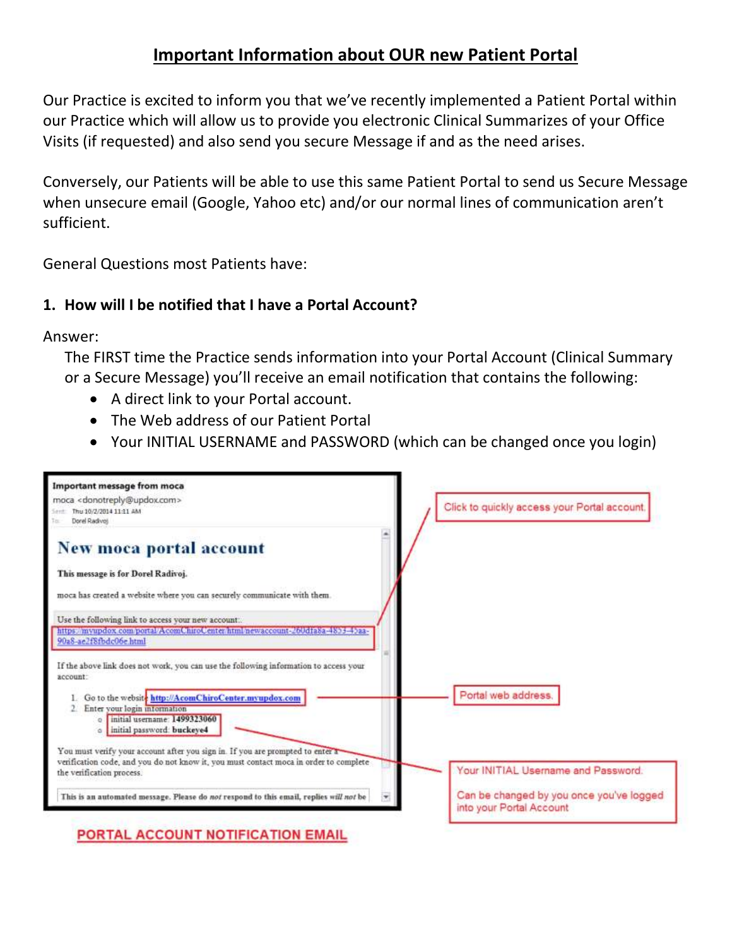# **Important Information about OUR new Patient Portal**

Our Practice is excited to inform you that we've recently implemented a Patient Portal within our Practice which will allow us to provide you electronic Clinical Summarizes of your Office Visits (if requested) and also send you secure Message if and as the need arises.

Conversely, our Patients will be able to use this same Patient Portal to send us Secure Message when unsecure email (Google, Yahoo etc) and/or our normal lines of communication aren't sufficient.

General Questions most Patients have:

## **1. How will I be notified that I have a Portal Account?**

Answer:

The FIRST time the Practice sends information into your Portal Account (Clinical Summary or a Secure Message) you'll receive an email notification that contains the following:

- A direct link to your Portal account.
- The Web address of our Patient Portal
- Your INITIAL USERNAME and PASSWORD (which can be changed once you login)



PORTAL ACCOUNT NOTIFICATION EMAIL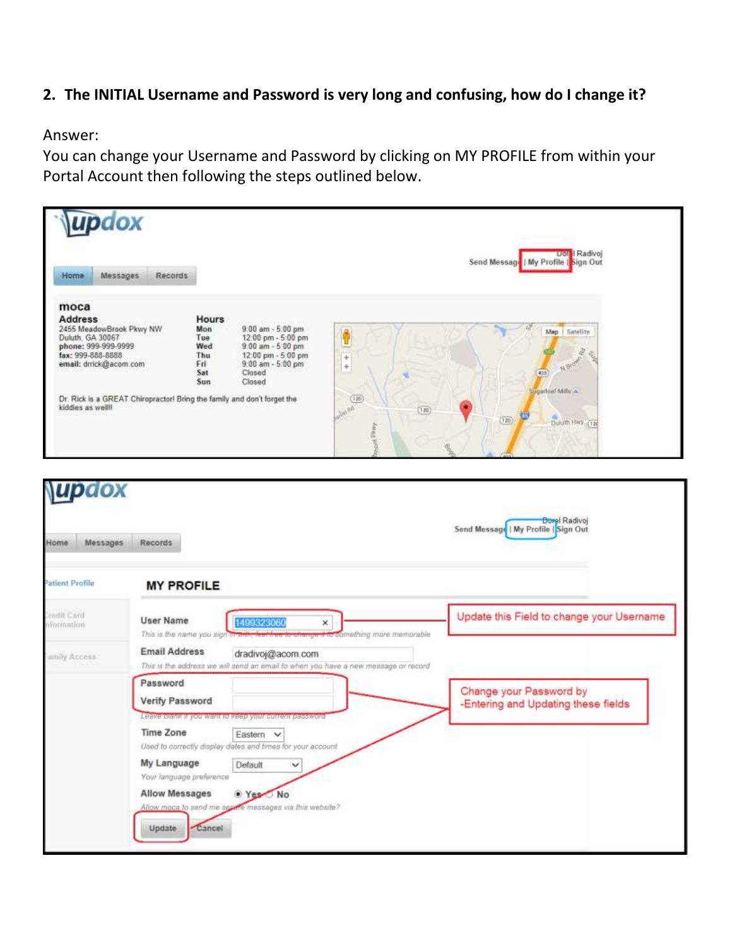### **2. The INITIAL Username and Password is very long and confusing, how do I change it?**

Answer:

You can change your Username and Password by clicking on MY PROFILE from within your Portal Account then following the steps outlined below.